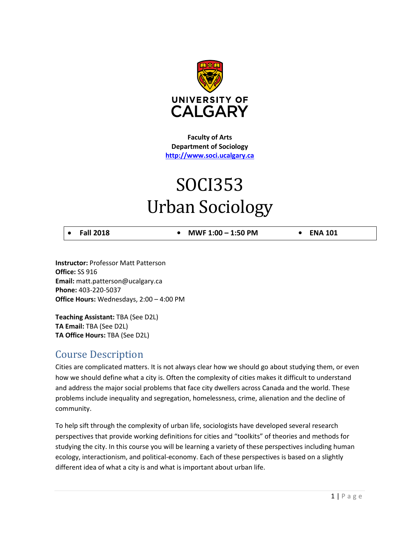

**Faculty of Arts Department of Sociology [http://www.soci.ucalgary.ca](http://www.soci.ucalgary.ca/)**

# SOCI353 Urban Sociology

• **Fall 2018 • MWF 1:00 – 1:50 PM • ENA 101**

**Instructor:** Professor Matt Patterson **Office:** SS 916 **Email:** matt.patterson@ucalgary.ca **Phone:** 403-220-5037 **Office Hours:** Wednesdays, 2:00 – 4:00 PM

**Teaching Assistant:** TBA (See D2L) **TA Email:** TBA (See D2L) **TA Office Hours:** TBA (See D2L)

## Course Description

Cities are complicated matters. It is not always clear how we should go about studying them, or even how we should define what a city is. Often the complexity of cities makes it difficult to understand and address the major social problems that face city dwellers across Canada and the world. These problems include inequality and segregation, homelessness, crime, alienation and the decline of community.

To help sift through the complexity of urban life, sociologists have developed several research perspectives that provide working definitions for cities and "toolkits" of theories and methods for studying the city. In this course you will be learning a variety of these perspectives including human ecology, interactionism, and political-economy. Each of these perspectives is based on a slightly different idea of what a city is and what is important about urban life.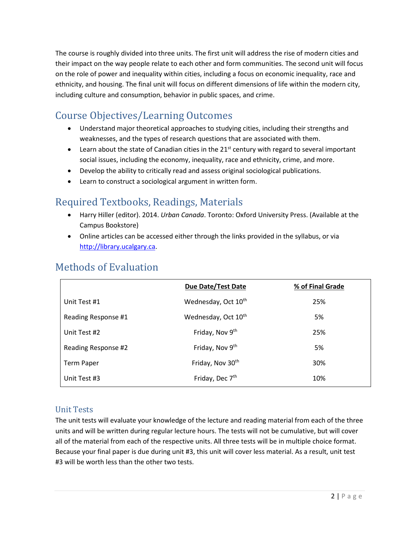The course is roughly divided into three units. The first unit will address the rise of modern cities and their impact on the way people relate to each other and form communities. The second unit will focus on the role of power and inequality within cities, including a focus on economic inequality, race and ethnicity, and housing. The final unit will focus on different dimensions of life within the modern city, including culture and consumption, behavior in public spaces, and crime.

# Course Objectives/Learning Outcomes

- Understand major theoretical approaches to studying cities, including their strengths and weaknesses, and the types of research questions that are associated with them.
- Learn about the state of Canadian cities in the  $21^{st}$  century with regard to several important social issues, including the economy, inequality, race and ethnicity, crime, and more.
- Develop the ability to critically read and assess original sociological publications.
- Learn to construct a sociological argument in written form.

# Required Textbooks, Readings, Materials

- Harry Hiller (editor). 2014. *Urban Canada*. Toronto: Oxford University Press. (Available at the Campus Bookstore)
- Online articles can be accessed either through the links provided in the syllabus, or via [http://library.ucalgary.ca.](http://library.ucalgary.ca/)

|                     | <b>Due Date/Test Date</b>       | % of Final Grade |
|---------------------|---------------------------------|------------------|
| Unit Test #1        | Wednesday, Oct 10 <sup>th</sup> | 25%              |
| Reading Response #1 | Wednesday, Oct 10 <sup>th</sup> | 5%               |
| Unit Test #2        | Friday, Nov 9th                 | 25%              |
| Reading Response #2 | Friday, Nov 9th                 | 5%               |
| <b>Term Paper</b>   | Friday, Nov 30th                | 30%              |
| Unit Test #3        | Friday, Dec 7 <sup>th</sup>     | 10%              |

# Methods of Evaluation

## Unit Tests

The unit tests will evaluate your knowledge of the lecture and reading material from each of the three units and will be written during regular lecture hours. The tests will not be cumulative, but will cover all of the material from each of the respective units. All three tests will be in multiple choice format. Because your final paper is due during unit #3, this unit will cover less material. As a result, unit test #3 will be worth less than the other two tests.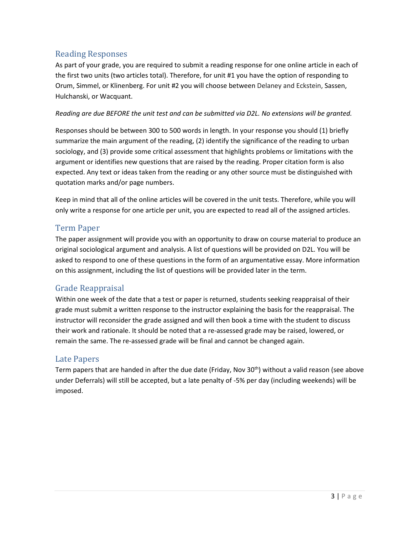## Reading Responses

As part of your grade, you are required to submit a reading response for one online article in each of the first two units (two articles total). Therefore, for unit #1 you have the option of responding to Orum, Simmel, or Klinenberg. For unit #2 you will choose between Delaney and Eckstein, Sassen, Hulchanski, or Wacquant.

#### *Reading are due BEFORE the unit test and can be submitted via D2L. No extensions will be granted.*

Responses should be between 300 to 500 words in length. In your response you should (1) briefly summarize the main argument of the reading, (2) identify the significance of the reading to urban sociology, and (3) provide some critical assessment that highlights problems or limitations with the argument or identifies new questions that are raised by the reading. Proper citation form is also expected. Any text or ideas taken from the reading or any other source must be distinguished with quotation marks and/or page numbers.

Keep in mind that all of the online articles will be covered in the unit tests. Therefore, while you will only write a response for one article per unit, you are expected to read all of the assigned articles.

## Term Paper

The paper assignment will provide you with an opportunity to draw on course material to produce an original sociological argument and analysis. A list of questions will be provided on D2L. You will be asked to respond to one of these questions in the form of an argumentative essay. More information on this assignment, including the list of questions will be provided later in the term.

## Grade Reappraisal

Within one week of the date that a test or paper is returned, students seeking reappraisal of their grade must submit a written response to the instructor explaining the basis for the reappraisal. The instructor will reconsider the grade assigned and will then book a time with the student to discuss their work and rationale. It should be noted that a re-assessed grade may be raised, lowered, or remain the same. The re-assessed grade will be final and cannot be changed again.

## Late Papers

Term papers that are handed in after the due date (Friday, Nov 30<sup>th</sup>) without a valid reason (see above under Deferrals) will still be accepted, but a late penalty of -5% per day (including weekends) will be imposed.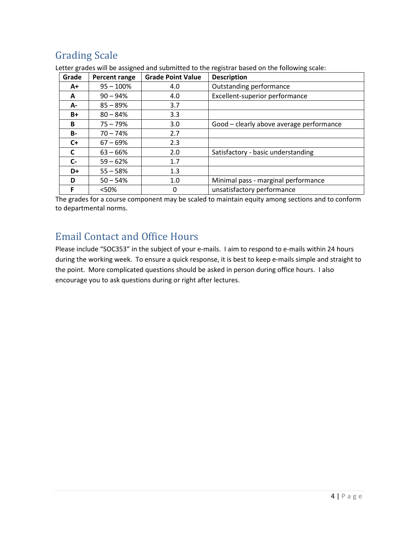# Grading Scale

| Grade     | Percent range | <b>Grade Point Value</b> | <b>Description</b>                       |
|-----------|---------------|--------------------------|------------------------------------------|
| A+        | $95 - 100%$   | 4.0                      | Outstanding performance                  |
| A         | $90 - 94\%$   | 4.0                      | Excellent-superior performance           |
| А-        | $85 - 89%$    | 3.7                      |                                          |
| B+        | $80 - 84%$    | 3.3                      |                                          |
| B         | $75 - 79%$    | 3.0                      | Good - clearly above average performance |
| <b>B-</b> | $70 - 74%$    | 2.7                      |                                          |
| $C+$      | $67 - 69\%$   | 2.3                      |                                          |
| C         | $63 - 66%$    | 2.0                      | Satisfactory - basic understanding       |
| $C-$      | $59 - 62%$    | 1.7                      |                                          |
| D+        | $55 - 58%$    | 1.3                      |                                          |
| D         | $50 - 54%$    | 1.0                      | Minimal pass - marginal performance      |
| F         | < 50%         | 0                        | unsatisfactory performance               |

Letter grades will be assigned and submitted to the registrar based on the following scale:

The grades for a course component may be scaled to maintain equity among sections and to conform to departmental norms.

# Email Contact and Office Hours

Please include "SOC353" in the subject of your e-mails. I aim to respond to e-mails within 24 hours during the working week. To ensure a quick response, it is best to keep e-mails simple and straight to the point. More complicated questions should be asked in person during office hours. I also encourage you to ask questions during or right after lectures.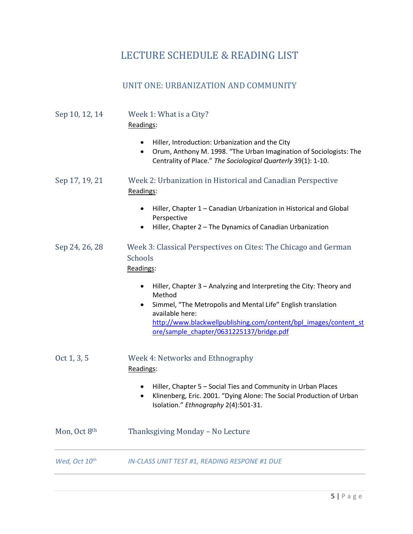# LECTURE SCHEDULE & READING LIST

## UNIT ONE: URBANIZATION AND COMMUNITY

| Sep 10, 12, 14            | Week 1: What is a City?<br>Readings:                                                                                                                                                                                                                                                          |
|---------------------------|-----------------------------------------------------------------------------------------------------------------------------------------------------------------------------------------------------------------------------------------------------------------------------------------------|
|                           | Hiller, Introduction: Urbanization and the City<br>Orum, Anthony M. 1998. "The Urban Imagination of Sociologists: The<br>Centrality of Place." The Sociological Quarterly 39(1): 1-10.                                                                                                        |
| Sep 17, 19, 21            | Week 2: Urbanization in Historical and Canadian Perspective<br>Readings:                                                                                                                                                                                                                      |
|                           | Hiller, Chapter 1 - Canadian Urbanization in Historical and Global<br>Perspective<br>Hiller, Chapter 2 - The Dynamics of Canadian Urbanization<br>٠                                                                                                                                           |
| Sep 24, 26, 28            | Week 3: Classical Perspectives on Cites: The Chicago and German<br>Schools<br>Readings:                                                                                                                                                                                                       |
|                           | Hiller, Chapter 3 - Analyzing and Interpreting the City: Theory and<br>$\bullet$<br>Method<br>Simmel, "The Metropolis and Mental Life" English translation<br>available here:<br>http://www.blackwellpublishing.com/content/bpl_images/content_st<br>ore/sample_chapter/0631225137/bridge.pdf |
| Oct 1, 3, 5               | Week 4: Networks and Ethnography<br>Readings:                                                                                                                                                                                                                                                 |
|                           | Hiller, Chapter 5 - Social Ties and Community in Urban Places<br>Klinenberg, Eric. 2001. "Dying Alone: The Social Production of Urban<br>Isolation." Ethnography 2(4):501-31.                                                                                                                 |
| Mon, Oct 8th              | Thanksgiving Monday - No Lecture                                                                                                                                                                                                                                                              |
| Wed, Oct 10 <sup>th</sup> | <b>IN-CLASS UNIT TEST #1, READING RESPONE #1 DUE</b>                                                                                                                                                                                                                                          |
|                           |                                                                                                                                                                                                                                                                                               |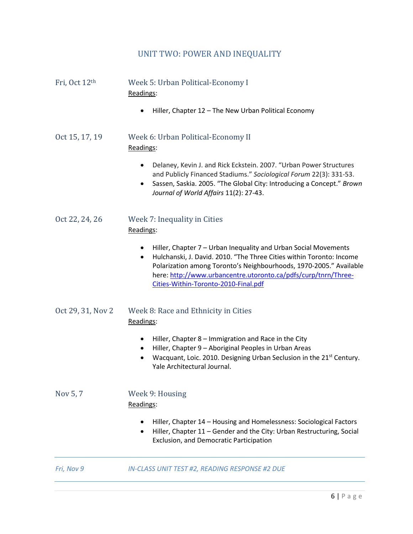# UNIT TWO: POWER AND INEQUALITY

| Fri, Oct 12th     | Week 5: Urban Political-Economy I<br>Readings:                                                                                                                                                                                                                                                                                            |
|-------------------|-------------------------------------------------------------------------------------------------------------------------------------------------------------------------------------------------------------------------------------------------------------------------------------------------------------------------------------------|
|                   | Hiller, Chapter 12 - The New Urban Political Economy                                                                                                                                                                                                                                                                                      |
| Oct 15, 17, 19    | Week 6: Urban Political-Economy II<br>Readings:                                                                                                                                                                                                                                                                                           |
|                   | Delaney, Kevin J. and Rick Eckstein. 2007. "Urban Power Structures<br>٠<br>and Publicly Financed Stadiums." Sociological Forum 22(3): 331-53.<br>Sassen, Saskia. 2005. "The Global City: Introducing a Concept." Brown<br>$\bullet$<br>Journal of World Affairs 11(2): 27-43.                                                             |
| Oct 22, 24, 26    | Week 7: Inequality in Cities<br>Readings:                                                                                                                                                                                                                                                                                                 |
|                   | Hiller, Chapter 7 - Urban Inequality and Urban Social Movements<br>٠<br>Hulchanski, J. David. 2010. "The Three Cities within Toronto: Income<br>$\bullet$<br>Polarization among Toronto's Neighbourhoods, 1970-2005." Available<br>here: http://www.urbancentre.utoronto.ca/pdfs/curp/tnrn/Three-<br>Cities-Within-Toronto-2010-Final.pdf |
| Oct 29, 31, Nov 2 | Week 8: Race and Ethnicity in Cities<br>Readings:                                                                                                                                                                                                                                                                                         |
|                   | Hiller, Chapter 8 - Immigration and Race in the City<br>$\bullet$<br>Hiller, Chapter 9 - Aboriginal Peoples in Urban Areas<br>$\bullet$<br>Wacquant, Loic. 2010. Designing Urban Seclusion in the 21 <sup>st</sup> Century.<br>Yale Architectural Journal.                                                                                |
| Nov 5, 7          | Week 9: Housing<br>Readings:                                                                                                                                                                                                                                                                                                              |
|                   | Hiller, Chapter 14 - Housing and Homelessness: Sociological Factors<br>Hiller, Chapter 11 - Gender and the City: Urban Restructuring, Social<br>$\bullet$<br>Exclusion, and Democratic Participation                                                                                                                                      |
| Fri, Nov 9        | <b>IN-CLASS UNIT TEST #2, READING RESPONSE #2 DUE</b>                                                                                                                                                                                                                                                                                     |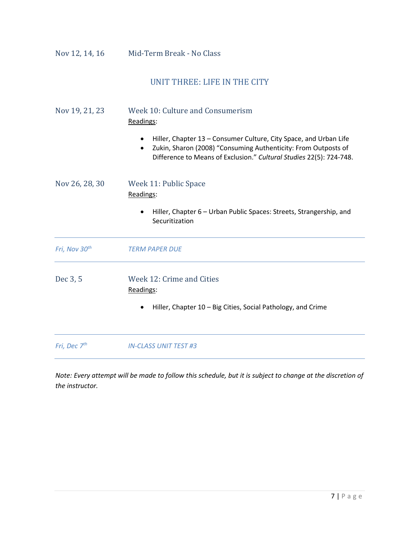Nov 12, 14, 16 Mid-Term Break - No Class

## UNIT THREE: LIFE IN THE CITY

| Nov 19, 21, 23 | Week 10: Culture and Consumerism |
|----------------|----------------------------------|
|                | Readings:                        |

- Hiller, Chapter 13 Consumer Culture, City Space, and Urban Life
- Zukin, Sharon (2008) "Consuming Authenticity: From Outposts of Difference to Means of Exclusion." *Cultural Studies* 22(5): 724-748.

| Nov 26, 28, 30            | Week 11: Public Space<br>Readings:                                                                                  |  |
|---------------------------|---------------------------------------------------------------------------------------------------------------------|--|
|                           | Hiller, Chapter 6 – Urban Public Spaces: Streets, Strangership, and<br>$\bullet$<br>Securitization                  |  |
| Fri, Nov 30 <sup>th</sup> | <b>TERM PAPER DUE</b>                                                                                               |  |
| Dec 3, 5                  | Week 12: Crime and Cities<br>Readings:<br>Hiller, Chapter 10 – Big Cities, Social Pathology, and Crime<br>$\bullet$ |  |

*Fri, Dec 7th IN-CLASS UNIT TEST #3*

*Note: Every attempt will be made to follow this schedule, but it is subject to change at the discretion of the instructor.*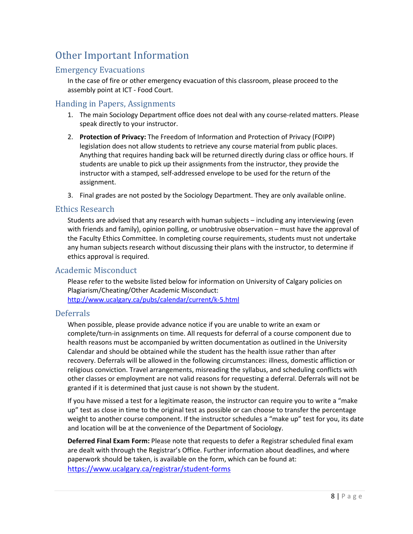# Other Important Information

## Emergency Evacuations

In the case of fire or other emergency evacuation of this classroom, please proceed to the assembly point at ICT - Food Court.

#### Handing in Papers, Assignments

- 1. The main Sociology Department office does not deal with any course-related matters. Please speak directly to your instructor.
- 2. **Protection of Privacy:** The Freedom of Information and Protection of Privacy (FOIPP) legislation does not allow students to retrieve any course material from public places. Anything that requires handing back will be returned directly during class or office hours. If students are unable to pick up their assignments from the instructor, they provide the instructor with a stamped, self-addressed envelope to be used for the return of the assignment.
- 3. Final grades are not posted by the Sociology Department. They are only available online.

#### Ethics Research

Students are advised that any research with human subjects – including any interviewing (even with friends and family), opinion polling, or unobtrusive observation – must have the approval of the Faculty Ethics Committee. In completing course requirements, students must not undertake any human subjects research without discussing their plans with the instructor, to determine if ethics approval is required.

### Academic Misconduct

Please refer to the website listed below for information on University of Calgary policies on Plagiarism/Cheating/Other Academic Misconduct: <http://www.ucalgary.ca/pubs/calendar/current/k-5.html>

#### Deferrals

When possible, please provide advance notice if you are unable to write an exam or complete/turn-in assignments on time. All requests for deferral of a course component due to health reasons must be accompanied by written documentation as outlined in the University Calendar and should be obtained while the student has the health issue rather than after recovery. Deferrals will be allowed in the following circumstances: illness, domestic affliction or religious conviction. Travel arrangements, misreading the syllabus, and scheduling conflicts with other classes or employment are not valid reasons for requesting a deferral. Deferrals will not be granted if it is determined that just cause is not shown by the student.

If you have missed a test for a legitimate reason, the instructor can require you to write a "make up" test as close in time to the original test as possible or can choose to transfer the percentage weight to another course component. If the instructor schedules a "make up" test for you, its date and location will be at the convenience of the Department of Sociology.

**Deferred Final Exam Form:** Please note that requests to defer a Registrar scheduled final exam are dealt with through the Registrar's Office. Further information about deadlines, and where paperwork should be taken, is available on the form, which can be found at: <https://www.ucalgary.ca/registrar/student-forms>